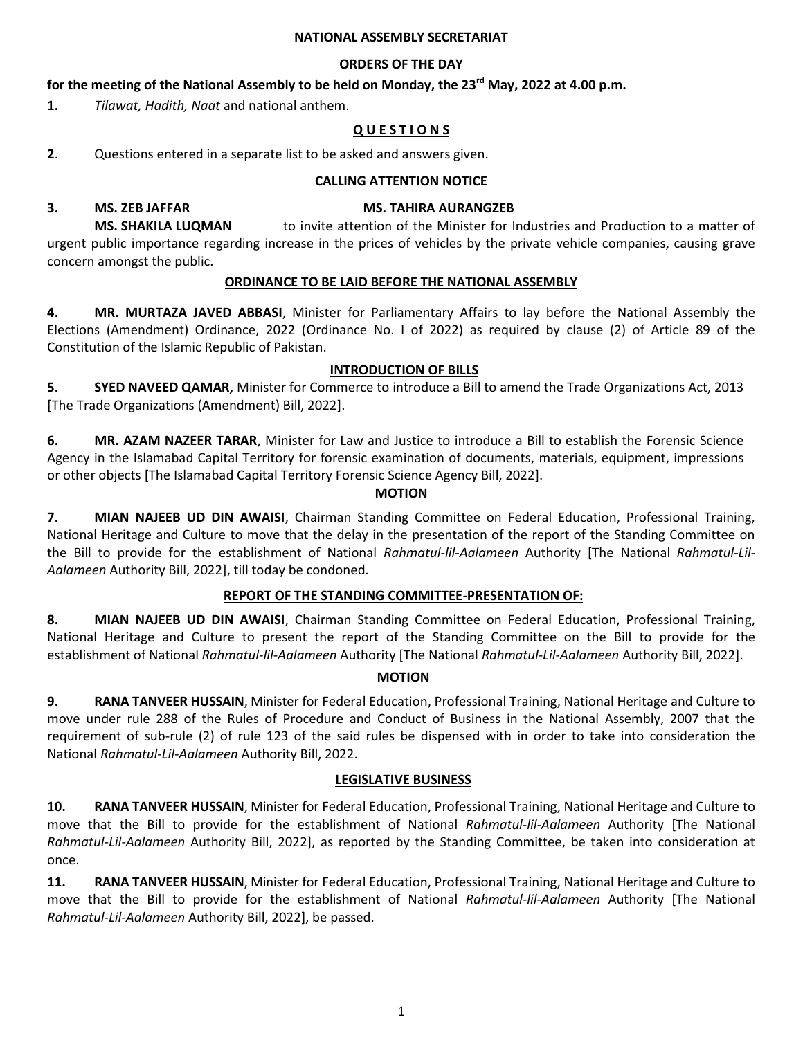#### **NATIONAL ASSEMBLY SECRETARIAT**

## **ORDERS OF THE DAY**

# **for the meeting of the National Assembly to be held on Monday, the 23 rd May, 2022 at 4.00 p.m.**

**1.** *Tilawat, Hadith, Naat* and national anthem.

# **Q U E S T I O N S**

**2**. Questions entered in a separate list to be asked and answers given.

### **CALLING ATTENTION NOTICE**

#### **3. MS. ZEB JAFFAR MS. TAHIRA AURANGZEB**

**MS. SHAKILA LUQMAN** to invite attention of the Minister for Industries and Production to a matter of urgent public importance regarding increase in the prices of vehicles by the private vehicle companies, causing grave concern amongst the public.

#### **ORDINANCE TO BE LAID BEFORE THE NATIONAL ASSEMBLY**

**4. MR. MURTAZA JAVED ABBASI**, Minister for Parliamentary Affairs to lay before the National Assembly the Elections (Amendment) Ordinance, 2022 (Ordinance No. I of 2022) as required by clause (2) of Article 89 of the Constitution of the Islamic Republic of Pakistan.

# **INTRODUCTION OF BILLS**

**5. SYED NAVEED QAMAR,** Minister for Commerce to introduce a Bill to amend the Trade Organizations Act, 2013 [The Trade Organizations (Amendment) Bill, 2022].

**6. MR. AZAM NAZEER TARAR**, Minister for Law and Justice to introduce a Bill to establish the Forensic Science Agency in the Islamabad Capital Territory for forensic examination of documents, materials, equipment, impressions or other objects [The Islamabad Capital Territory Forensic Science Agency Bill, 2022].

### **MOTION**

**7. MIAN NAJEEB UD DIN AWAISI**, Chairman Standing Committee on Federal Education, Professional Training, National Heritage and Culture to move that the delay in the presentation of the report of the Standing Committee on the Bill to provide for the establishment of National *Rahmatul-lil-Aalameen* Authority [The National *Rahmatul-Lil-Aalameen* Authority Bill, 2022], till today be condoned.

# **REPORT OF THE STANDING COMMITTEE-PRESENTATION OF:**

**8. MIAN NAJEEB UD DIN AWAISI**, Chairman Standing Committee on Federal Education, Professional Training, National Heritage and Culture to present the report of the Standing Committee on the Bill to provide for the establishment of National *Rahmatul-lil-Aalameen* Authority [The National *Rahmatul-Lil-Aalameen* Authority Bill, 2022].

# **MOTION**

**9. RANA TANVEER HUSSAIN**, Minister for Federal Education, Professional Training, National Heritage and Culture to move under rule 288 of the Rules of Procedure and Conduct of Business in the National Assembly, 2007 that the requirement of sub-rule (2) of rule 123 of the said rules be dispensed with in order to take into consideration the National *Rahmatul-Lil-Aalameen* Authority Bill, 2022.

#### **LEGISLATIVE BUSINESS**

**10. RANA TANVEER HUSSAIN**, Minister for Federal Education, Professional Training, National Heritage and Culture to move that the Bill to provide for the establishment of National *Rahmatul-lil-Aalameen* Authority [The National *Rahmatul-Lil-Aalameen* Authority Bill, 2022], as reported by the Standing Committee, be taken into consideration at once.

**11. RANA TANVEER HUSSAIN**, Minister for Federal Education, Professional Training, National Heritage and Culture to move that the Bill to provide for the establishment of National *Rahmatul-lil-Aalameen* Authority [The National *Rahmatul-Lil-Aalameen* Authority Bill, 2022], be passed.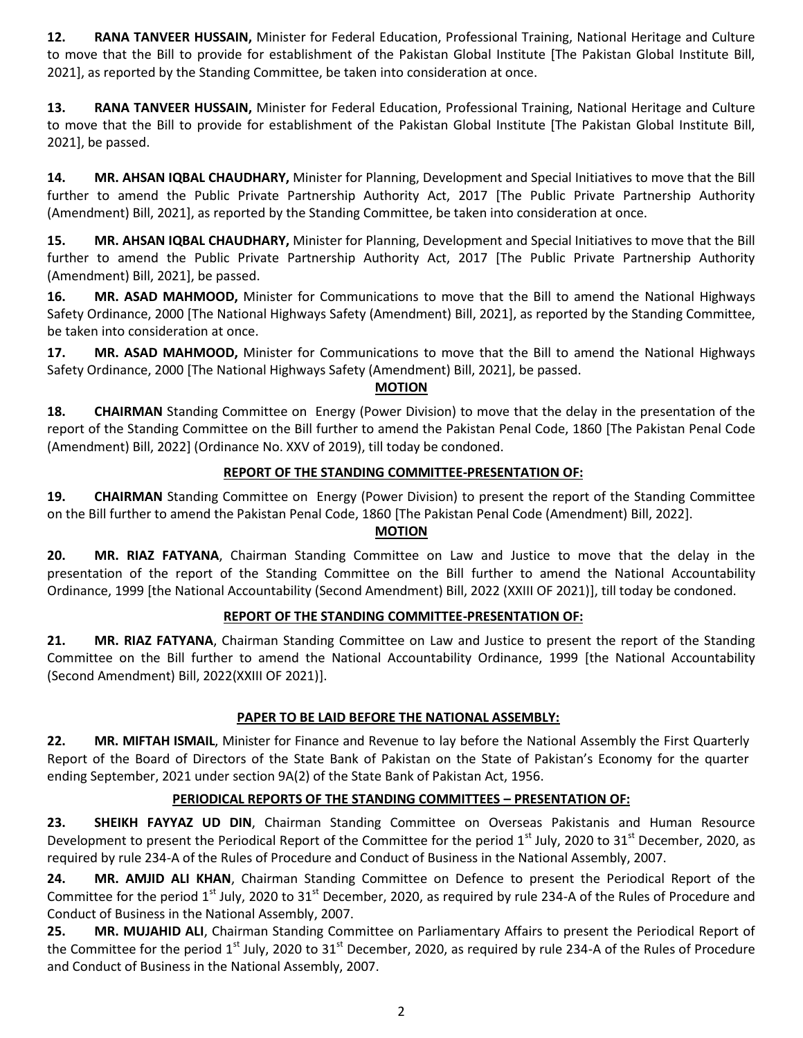**12. RANA TANVEER HUSSAIN,** Minister for Federal Education, Professional Training, National Heritage and Culture to move that the Bill to provide for establishment of the Pakistan Global Institute [The Pakistan Global Institute Bill, 2021], as reported by the Standing Committee, be taken into consideration at once.

**13. RANA TANVEER HUSSAIN,** Minister for Federal Education, Professional Training, National Heritage and Culture to move that the Bill to provide for establishment of the Pakistan Global Institute [The Pakistan Global Institute Bill, 2021], be passed.

**14. MR. AHSAN IQBAL CHAUDHARY,** Minister for Planning, Development and Special Initiatives to move that the Bill further to amend the Public Private Partnership Authority Act, 2017 [The Public Private Partnership Authority (Amendment) Bill, 2021], as reported by the Standing Committee, be taken into consideration at once.

**15. MR. AHSAN IQBAL CHAUDHARY,** Minister for Planning, Development and Special Initiatives to move that the Bill further to amend the Public Private Partnership Authority Act, 2017 [The Public Private Partnership Authority (Amendment) Bill, 2021], be passed.

**16. MR. ASAD MAHMOOD,** Minister for Communications to move that the Bill to amend the National Highways Safety Ordinance, 2000 [The National Highways Safety (Amendment) Bill, 2021], as reported by the Standing Committee, be taken into consideration at once.

**17. MR. ASAD MAHMOOD,** Minister for Communications to move that the Bill to amend the National Highways Safety Ordinance, 2000 [The National Highways Safety (Amendment) Bill, 2021], be passed.

# **MOTION**

**18. CHAIRMAN** Standing Committee on Energy (Power Division) to move that the delay in the presentation of the report of the Standing Committee on the Bill further to amend the Pakistan Penal Code, 1860 [The Pakistan Penal Code (Amendment) Bill, 2022] (Ordinance No. XXV of 2019), till today be condoned.

# **REPORT OF THE STANDING COMMITTEE-PRESENTATION OF:**

**19. CHAIRMAN** Standing Committee on Energy (Power Division) to present the report of the Standing Committee on the Bill further to amend the Pakistan Penal Code, 1860 [The Pakistan Penal Code (Amendment) Bill, 2022].

# **MOTION**

**20. MR. RIAZ FATYANA**, Chairman Standing Committee on Law and Justice to move that the delay in the presentation of the report of the Standing Committee on the Bill further to amend the National Accountability Ordinance, 1999 [the National Accountability (Second Amendment) Bill, 2022 (XXIII OF 2021)], till today be condoned.

# **REPORT OF THE STANDING COMMITTEE-PRESENTATION OF:**

**21. MR. RIAZ FATYANA**, Chairman Standing Committee on Law and Justice to present the report of the Standing Committee on the Bill further to amend the National Accountability Ordinance, 1999 [the National Accountability (Second Amendment) Bill, 2022(XXIII OF 2021)].

# **PAPER TO BE LAID BEFORE THE NATIONAL ASSEMBLY:**

**22. MR. MIFTAH ISMAIL**, Minister for Finance and Revenue to lay before the National Assembly the First Quarterly Report of the Board of Directors of the State Bank of Pakistan on the State of Pakistan's Economy for the quarter ending September, 2021 under section 9A(2) of the State Bank of Pakistan Act, 1956.

# **PERIODICAL REPORTS OF THE STANDING COMMITTEES – PRESENTATION OF:**

**23. SHEIKH FAYYAZ UD DIN**, Chairman Standing Committee on Overseas Pakistanis and Human Resource Development to present the Periodical Report of the Committee for the period 1<sup>st</sup> July, 2020 to 31<sup>st</sup> December, 2020, as required by rule 234-A of the Rules of Procedure and Conduct of Business in the National Assembly, 2007.

**24. MR. AMJID ALI KHAN**, Chairman Standing Committee on Defence to present the Periodical Report of the Committee for the period  $1^{st}$  July, 2020 to  $31^{st}$  December, 2020, as required by rule 234-A of the Rules of Procedure and Conduct of Business in the National Assembly, 2007.

**25. MR. MUJAHID ALI**, Chairman Standing Committee on Parliamentary Affairs to present the Periodical Report of the Committee for the period  $1<sup>st</sup>$  July, 2020 to 31 $<sup>st</sup>$  December, 2020, as required by rule 234-A of the Rules of Procedure</sup> and Conduct of Business in the National Assembly, 2007.